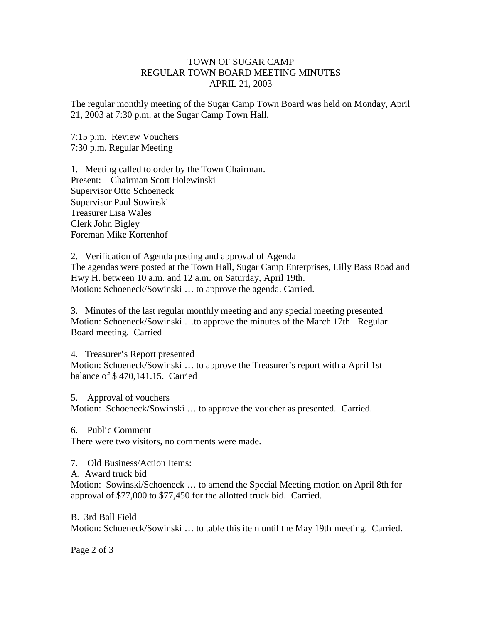### TOWN OF SUGAR CAMP REGULAR TOWN BOARD MEETING MINUTES APRIL 21, 2003

The regular monthly meeting of the Sugar Camp Town Board was held on Monday, April 21, 2003 at 7:30 p.m. at the Sugar Camp Town Hall.

7:15 p.m. Review Vouchers 7:30 p.m. Regular Meeting

1. Meeting called to order by the Town Chairman. Present: Chairman Scott Holewinski Supervisor Otto Schoeneck Supervisor Paul Sowinski Treasurer Lisa Wales Clerk John Bigley Foreman Mike Kortenhof

2. Verification of Agenda posting and approval of Agenda The agendas were posted at the Town Hall, Sugar Camp Enterprises, Lilly Bass Road and Hwy H. between 10 a.m. and 12 a.m. on Saturday, April 19th. Motion: Schoeneck/Sowinski … to approve the agenda. Carried.

3. Minutes of the last regular monthly meeting and any special meeting presented Motion: Schoeneck/Sowinski …to approve the minutes of the March 17th Regular Board meeting. Carried

4. Treasurer's Report presented Motion: Schoeneck/Sowinski … to approve the Treasurer's report with a April 1st balance of \$ 470,141.15. Carried

5. Approval of vouchers Motion: Schoeneck/Sowinski … to approve the voucher as presented. Carried.

6. Public Comment

There were two visitors, no comments were made.

7. Old Business/Action Items:

A. Award truck bid

Motion: Sowinski/Schoeneck … to amend the Special Meeting motion on April 8th for approval of \$77,000 to \$77,450 for the allotted truck bid. Carried.

B. 3rd Ball Field Motion: Schoeneck/Sowinski … to table this item until the May 19th meeting. Carried.

Page 2 of 3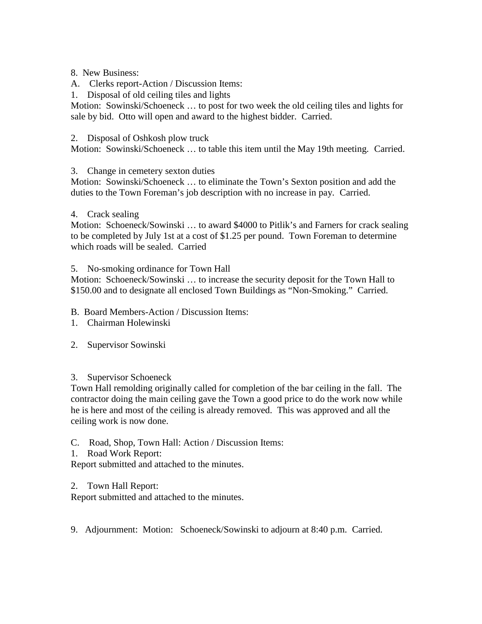### 8. New Business:

- A. Clerks report-Action / Discussion Items:
- 1. Disposal of old ceiling tiles and lights

Motion: Sowinski/Schoeneck … to post for two week the old ceiling tiles and lights for sale by bid. Otto will open and award to the highest bidder. Carried.

### 2. Disposal of Oshkosh plow truck

Motion: Sowinski/Schoeneck … to table this item until the May 19th meeting. Carried.

# 3. Change in cemetery sexton duties

Motion: Sowinski/Schoeneck … to eliminate the Town's Sexton position and add the duties to the Town Foreman's job description with no increase in pay. Carried.

### 4. Crack sealing

Motion: Schoeneck/Sowinski … to award \$4000 to Pitlik's and Farners for crack sealing to be completed by July 1st at a cost of \$1.25 per pound. Town Foreman to determine which roads will be sealed. Carried

# 5. No-smoking ordinance for Town Hall

Motion: Schoeneck/Sowinski … to increase the security deposit for the Town Hall to \$150.00 and to designate all enclosed Town Buildings as "Non-Smoking." Carried.

B. Board Members-Action / Discussion Items:

- 1. Chairman Holewinski
- 2. Supervisor Sowinski

# 3. Supervisor Schoeneck

Town Hall remolding originally called for completion of the bar ceiling in the fall. The contractor doing the main ceiling gave the Town a good price to do the work now while he is here and most of the ceiling is already removed. This was approved and all the ceiling work is now done.

# C. Road, Shop, Town Hall: Action / Discussion Items:

1. Road Work Report:

Report submitted and attached to the minutes.

#### 2. Town Hall Report:

Report submitted and attached to the minutes.

9. Adjournment: Motion: Schoeneck/Sowinski to adjourn at 8:40 p.m. Carried.